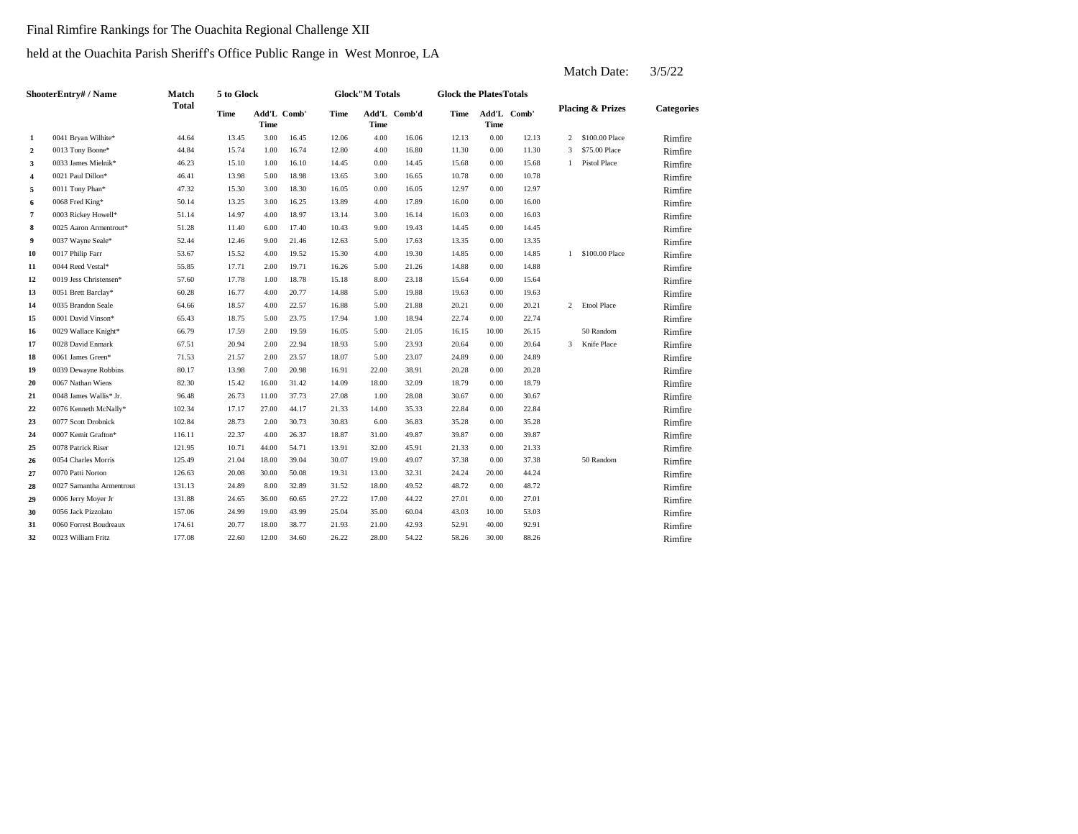### Final Rimfire Rankings for The Ouachita Regional Challenge XII

### held at the Ouachita Parish Sheriff's Office Public Range in West Monroe, LA

|                  | ShooterEntry# / Name     | Match        | 5 to Glock |       |             |       | <b>Glock"M Totals</b> |              | <b>Glock the PlatesTotals</b> |             |             |              |                             |            |
|------------------|--------------------------|--------------|------------|-------|-------------|-------|-----------------------|--------------|-------------------------------|-------------|-------------|--------------|-----------------------------|------------|
|                  |                          | <b>Total</b> | Time       | Time  | Add'L Comb' | Time  | <b>Time</b>           | Add'L Comb'd | Time                          | <b>Time</b> | Add'L Comb' |              | <b>Placing &amp; Prizes</b> | Categories |
| $\mathbf{1}$     | 0041 Bryan Wilhite*      | 44.64        | 13.45      | 3.00  | 16.45       | 12.06 | 4.00                  | 16.06        | 12.13                         | 0.00        | 12.13       | 2            | \$100.00 Place              | Rimfire    |
| $\boldsymbol{2}$ | 0013 Tony Boone*         | 44.84        | 15.74      | 1.00  | 16.74       | 12.80 | 4.00                  | 16.80        | 11.30                         | 0.00        | 11.30       | 3            | \$75.00 Place               | Rimfire    |
| 3                | 0033 James Mielnik*      | 46.23        | 15.10      | 1.00  | 16.10       | 14.45 | 0.00                  | 14.45        | 15.68                         | 0.00        | 15.68       | $\mathbf{1}$ | <b>Pistol Place</b>         | Rimfire    |
| 4                | 0021 Paul Dillon*        | 46.41        | 13.98      | 5.00  | 18.98       | 13.65 | 3.00                  | 16.65        | 10.78                         | 0.00        | 10.78       |              |                             | Rimfire    |
| 5                | 0011 Tony Phan*          | 47.32        | 15.30      | 3.00  | 18.30       | 16.05 | 0.00                  | 16.05        | 12.97                         | 0.00        | 12.97       |              |                             | Rimfire    |
| 6                | 0068 Fred King*          | 50.14        | 13.25      | 3.00  | 16.25       | 13.89 | 4.00                  | 17.89        | 16.00                         | 0.00        | 16.00       |              |                             | Rimfire    |
| 7                | 0003 Rickey Howell*      | 51.14        | 14.97      | 4.00  | 18.97       | 13.14 | 3.00                  | 16.14        | 16.03                         | 0.00        | 16.03       |              |                             | Rimfire    |
| 8                | 0025 Aaron Armentrout*   | 51.28        | 11.40      | 6.00  | 17.40       | 10.43 | 9.00                  | 19.43        | 14.45                         | 0.00        | 14.45       |              |                             | Rimfire    |
| 9                | 0037 Wayne Seale*        | 52.44        | 12.46      | 9.00  | 21.46       | 12.63 | 5.00                  | 17.63        | 13.35                         | 0.00        | 13.35       |              |                             | Rimfire    |
| 10               | 0017 Philip Farr         | 53.67        | 15.52      | 4.00  | 19.52       | 15.30 | 4.00                  | 19.30        | 14.85                         | 0.00        | 14.85       |              | 1 \$100.00 Place            | Rimfire    |
| 11               | 0044 Reed Vestal*        | 55.85        | 17.71      | 2.00  | 19.71       | 16.26 | 5.00                  | 21.26        | 14.88                         | 0.00        | 14.88       |              |                             | Rimfire    |
| 12               | 0019 Jess Christensen*   | 57.60        | 17.78      | 1.00  | 18.78       | 15.18 | 8.00                  | 23.18        | 15.64                         | 0.00        | 15.64       |              |                             | Rimfire    |
| 13               | 0051 Brett Barclay*      | 60.28        | 16.77      | 4.00  | 20.77       | 14.88 | 5.00                  | 19.88        | 19.63                         | 0.00        | 19.63       |              |                             | Rimfire    |
| 14               | 0035 Brandon Seale       | 64.66        | 18.57      | 4.00  | 22.57       | 16.88 | 5.00                  | 21.88        | 20.21                         | 0.00        | 20.21       | $\mathbf{2}$ | <b>Etool Place</b>          | Rimfire    |
| 15               | 0001 David Vinson*       | 65.43        | 18.75      | 5.00  | 23.75       | 17.94 | 1.00                  | 18.94        | 22.74                         | 0.00        | 22.74       |              |                             | Rimfire    |
| 16               | 0029 Wallace Knight*     | 66.79        | 17.59      | 2.00  | 19.59       | 16.05 | 5.00                  | 21.05        | 16.15                         | 10.00       | 26.15       |              | 50 Random                   | Rimfire    |
| 17               | 0028 David Enmark        | 67.51        | 20.94      | 2.00  | 22.94       | 18.93 | 5.00                  | 23.93        | 20.64                         | 0.00        | 20.64       | 3            | Knife Place                 | Rimfire    |
| 18               | 0061 James Green*        | 71.53        | 21.57      | 2.00  | 23.57       | 18.07 | 5.00                  | 23.07        | 24.89                         | 0.00        | 24.89       |              |                             | Rimfire    |
| 19               | 0039 Dewayne Robbins     | 80.17        | 13.98      | 7.00  | 20.98       | 16.91 | 22.00                 | 38.91        | 20.28                         | 0.00        | 20.28       |              |                             | Rimfire    |
| 20               | 0067 Nathan Wiens        | 82.30        | 15.42      | 16.00 | 31.42       | 14.09 | 18.00                 | 32.09        | 18.79                         | 0.00        | 18.79       |              |                             | Rimfire    |
| 21               | 0048 James Wallis* Jr.   | 96.48        | 26.73      | 11.00 | 37.73       | 27.08 | 1.00                  | 28.08        | 30.67                         | 0.00        | 30.67       |              |                             | Rimfire    |
| 22               | 0076 Kenneth McNally*    | 102.34       | 17.17      | 27.00 | 44.17       | 21.33 | 14.00                 | 35.33        | 22.84                         | 0.00        | 22.84       |              |                             | Rimfire    |
| 23               | 0077 Scott Drobnick      | 102.84       | 28.73      | 2.00  | 30.73       | 30.83 | 6.00                  | 36.83        | 35.28                         | 0.00        | 35.28       |              |                             | Rimfire    |
| 24               | 0007 Kemit Grafton*      | 116.11       | 22.37      | 4.00  | 26.37       | 18.87 | 31.00                 | 49.87        | 39.87                         | 0.00        | 39.87       |              |                             | Rimfire    |
| 25               | 0078 Patrick Riser       | 121.95       | 10.71      | 44.00 | 54.71       | 13.91 | 32.00                 | 45.91        | 21.33                         | 0.00        | 21.33       |              |                             | Rimfire    |
| 26               | 0054 Charles Morris      | 125.49       | 21.04      | 18.00 | 39.04       | 30.07 | 19.00                 | 49.07        | 37.38                         | 0.00        | 37.38       |              | 50 Random                   | Rimfire    |
| 27               | 0070 Patti Norton        | 126.63       | 20.08      | 30.00 | 50.08       | 19.31 | 13.00                 | 32.31        | 24.24                         | 20.00       | 44.24       |              |                             | Rimfire    |
| 28               | 0027 Samantha Armentrout | 131.13       | 24.89      | 8.00  | 32.89       | 31.52 | 18.00                 | 49.52        | 48.72                         | 0.00        | 48.72       |              |                             | Rimfire    |
| 29               | 0006 Jerry Moyer Jr      | 131.88       | 24.65      | 36.00 | 60.65       | 27.22 | 17.00                 | 44.22        | 27.01                         | 0.00        | 27.01       |              |                             | Rimfire    |
| 30               | 0056 Jack Pizzolato      | 157.06       | 24.99      | 19.00 | 43.99       | 25.04 | 35.00                 | 60.04        | 43.03                         | 10.00       | 53.03       |              |                             | Rimfire    |
| 31               | 0060 Forrest Boudreaux   | 174.61       | 20.77      | 18.00 | 38.77       | 21.93 | 21.00                 | 42.93        | 52.91                         | 40.00       | 92.91       |              |                             | Rimfire    |
| 32               | 0023 William Fritz       | 177.08       | 22.60      | 12.00 | 34.60       | 26.22 | 28.00                 | 54.22        | 58.26                         | 30.00       | 88.26       |              |                             | Rimfire    |
|                  |                          |              |            |       |             |       |                       |              |                               |             |             |              |                             |            |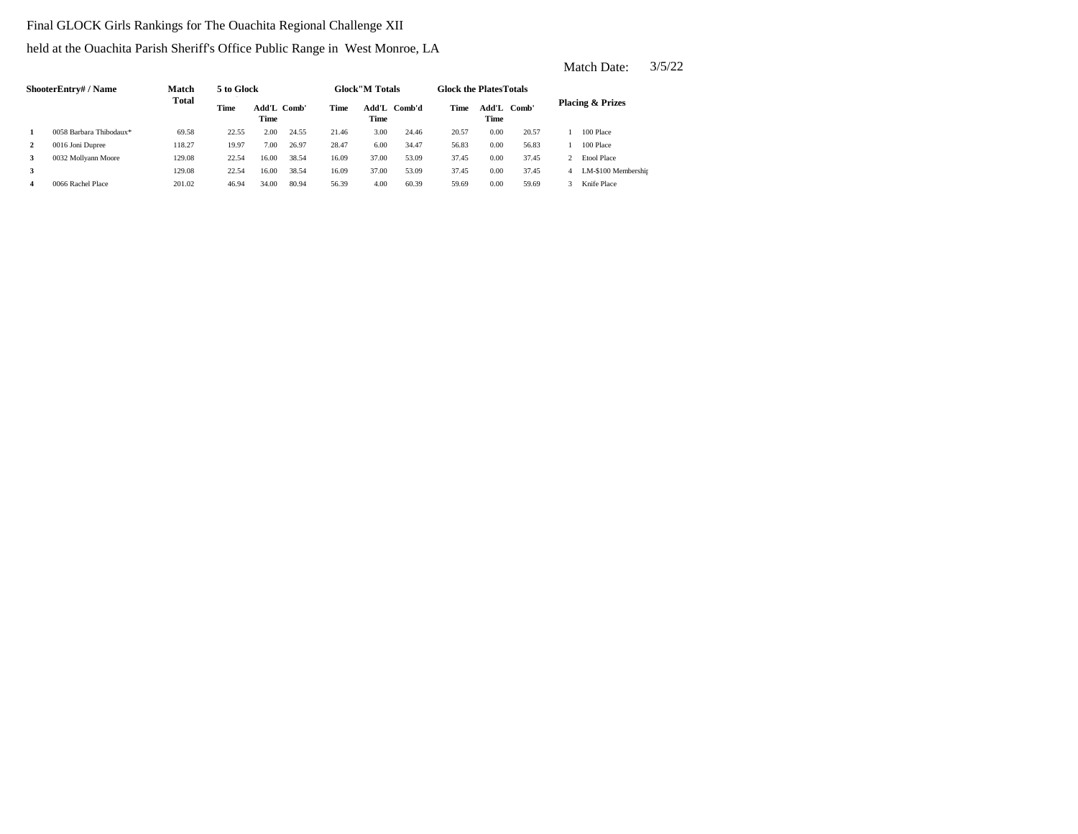### Final GLOCK Girls Rankings for The Ouachita Regional Challenge XII

held at the Ouachita Parish Sheriff's Office Public Range in West Monroe, LA

|              | ShooterEntry# / Name    | Match  | 5 to Glock |                     |       |       | <b>Glock</b> "M Totals |              | <b>Glock the Plates Totals</b> |               |       |                             |
|--------------|-------------------------|--------|------------|---------------------|-------|-------|------------------------|--------------|--------------------------------|---------------|-------|-----------------------------|
|              |                         | Total  | Time       | Add'L Comb'<br>Time |       | Time  | Time                   | Add'L Comb'd | Time                           | Add'L<br>Time | Comb' | <b>Placing &amp; Prizes</b> |
|              | 0058 Barbara Thibodaux* | 69.58  | 22.55      | 2.00                | 24.55 | 21.46 | 3.00                   | 24.46        | 20.57                          | 0.00          | 20.57 | 100 Place                   |
| $\mathbf{2}$ | 0016 Joni Dupree        | 118.27 | 19.97      | 7.00                | 26.97 | 28.47 | 6.00                   | 34.47        | 56.83                          | 0.00          | 56.83 | 100 Place                   |
| 3            | 0032 Mollyann Moore     | 129.08 | 22.54      | 16.00               | 38.54 | 16.09 | 37.00                  | 53.09        | 37.45                          | 0.00          | 37.45 | <b>Etool Place</b>          |
| 3            |                         | 129.08 | 22.54      | 16.00               | 38.54 | 16.09 | 37.00                  | 53.09        | 37.45                          | 0.00          | 37.45 | LM-\$100 Membershir         |
| 4            | 0066 Rachel Place       | 201.02 | 46.94      | 34.00               | 80.94 | 56.39 | 4.00                   | 60.39        | 59.69                          | 0.00          | 59.69 | Knife Place                 |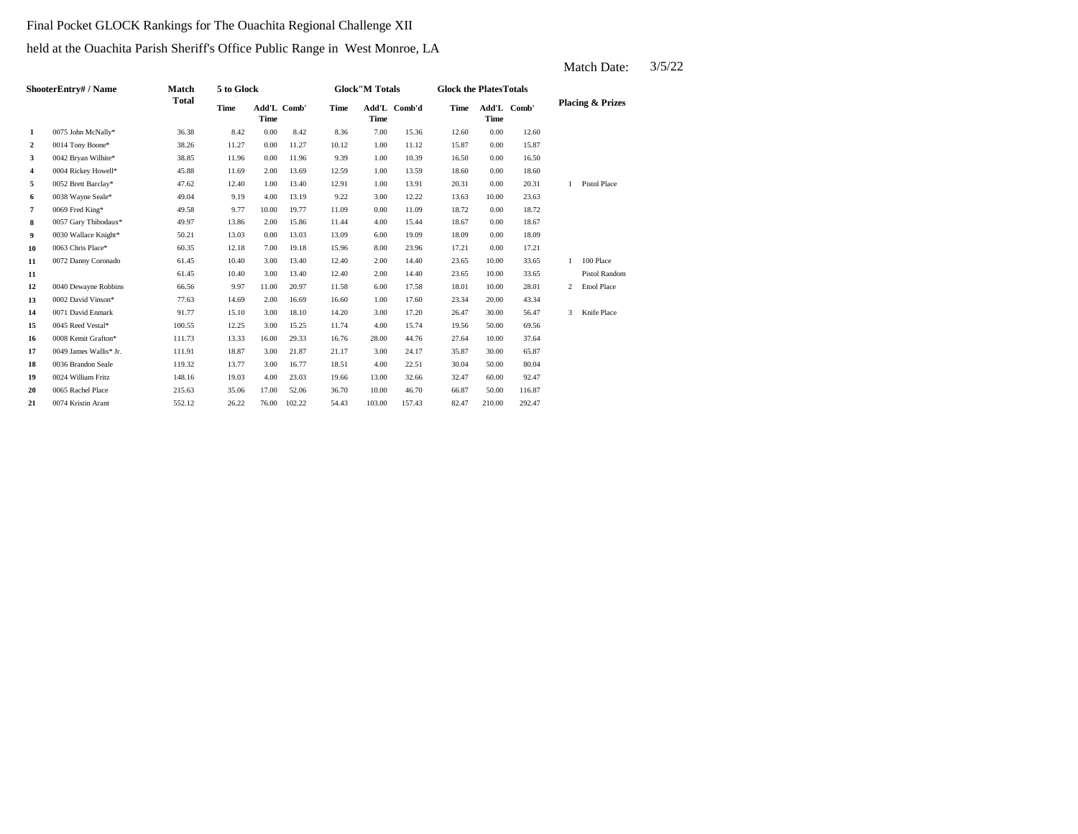### Final Pocket GLOCK Rankings for The Ouachita Regional Challenge XII

### held at the Ouachita Parish Sheriff's Office Public Range in West Monroe, LA

|                         | ShooterEntry# / Name   | <b>Match</b> | 5 to Glock |       |             |       | <b>Glock"M Totals</b> |              | <b>Glock the PlatesTotals</b> |                     |        |              |                             |
|-------------------------|------------------------|--------------|------------|-------|-------------|-------|-----------------------|--------------|-------------------------------|---------------------|--------|--------------|-----------------------------|
|                         |                        | <b>Total</b> | Time       | Time  | Add'L Comb' | Time  | Time                  | Add'L Comb'd | Time                          | Add'L Comb'<br>Time |        |              | <b>Placing &amp; Prizes</b> |
| 1                       | 0075 John McNally*     | 36.38        | 8.42       | 0.00  | 8.42        | 8.36  | 7.00                  | 15.36        | 12.60                         | 0.00                | 12.60  |              |                             |
| $\mathbf{2}$            | 0014 Tony Boone*       | 38.26        | 11.27      | 0.00  | 11.27       | 10.12 | 1.00                  | 11.12        | 15.87                         | 0.00                | 15.87  |              |                             |
| 3                       | 0042 Bryan Wilhite*    | 38.85        | 11.96      | 0.00  | 11.96       | 9.39  | 1.00                  | 10.39        | 16.50                         | 0.00                | 16.50  |              |                             |
| $\overline{\mathbf{4}}$ | 0004 Rickey Howell*    | 45.88        | 11.69      | 2.00  | 13.69       | 12.59 | 1.00                  | 13.59        | 18.60                         | 0.00                | 18.60  |              |                             |
| 5                       | 0052 Brett Barclay*    | 47.62        | 12.40      | 1.00  | 13.40       | 12.91 | 1.00                  | 13.91        | 20.31                         | 0.00                | 20.31  | $\mathbf{1}$ | <b>Pistol Place</b>         |
| 6                       | 0038 Wayne Seale*      | 49.04        | 9.19       | 4.00  | 13.19       | 9.22  | 3.00                  | 12.22        | 13.63                         | 10.00               | 23.63  |              |                             |
| 7                       | 0069 Fred King*        | 49.58        | 9.77       | 10.00 | 19.77       | 11.09 | 0.00                  | 11.09        | 18.72                         | 0.00                | 18.72  |              |                             |
| 8                       | 0057 Gary Thibodaux*   | 49.97        | 13.86      | 2.00  | 15.86       | 11.44 | 4.00                  | 15.44        | 18.67                         | 0.00                | 18.67  |              |                             |
| 9                       | 0030 Wallace Knight*   | 50.21        | 13.03      | 0.00  | 13.03       | 13.09 | 6.00                  | 19.09        | 18.09                         | 0.00                | 18.09  |              |                             |
| 10                      | 0063 Chris Place*      | 60.35        | 12.18      | 7.00  | 19.18       | 15.96 | 8.00                  | 23.96        | 17.21                         | 0.00                | 17.21  |              |                             |
| 11                      | 0072 Danny Coronado    | 61.45        | 10.40      | 3.00  | 13.40       | 12.40 | 2.00                  | 14.40        | 23.65                         | 10.00               | 33.65  | $\mathbf{1}$ | 100 Place                   |
| 11                      |                        | 61.45        | 10.40      | 3.00  | 13.40       | 12.40 | 2.00                  | 14.40        | 23.65                         | 10.00               | 33.65  |              | <b>Pistol Random</b>        |
| 12                      | 0040 Dewayne Robbins   | 66.56        | 9.97       | 11.00 | 20.97       | 11.58 | 6.00                  | 17.58        | 18.01                         | 10.00               | 28.01  | 2            | <b>Etool Place</b>          |
| 13                      | 0002 David Vinson*     | 77.63        | 14.69      | 2.00  | 16.69       | 16.60 | 1.00                  | 17.60        | 23.34                         | 20.00               | 43.34  |              |                             |
| 14                      | 0071 David Enmark      | 91.77        | 15.10      | 3.00  | 18.10       | 14.20 | 3.00                  | 17.20        | 26.47                         | 30.00               | 56.47  | 3            | Knife Place                 |
| 15                      | 0045 Reed Vestal*      | 100.55       | 12.25      | 3.00  | 15.25       | 11.74 | 4.00                  | 15.74        | 19.56                         | 50.00               | 69.56  |              |                             |
| 16                      | 0008 Kemit Grafton*    | 111.73       | 13.33      | 16.00 | 29.33       | 16.76 | 28.00                 | 44.76        | 27.64                         | 10.00               | 37.64  |              |                             |
| 17                      | 0049 James Wallis* Jr. | 111.91       | 18.87      | 3.00  | 21.87       | 21.17 | 3.00                  | 24.17        | 35.87                         | 30.00               | 65.87  |              |                             |
| 18                      | 0036 Brandon Seale     | 119.32       | 13.77      | 3.00  | 16.77       | 18.51 | 4.00                  | 22.51        | 30.04                         | 50.00               | 80.04  |              |                             |
| 19                      | 0024 William Fritz     | 148.16       | 19.03      | 4.00  | 23.03       | 19.66 | 13.00                 | 32.66        | 32.47                         | 60.00               | 92.47  |              |                             |
| 20                      | 0065 Rachel Place      | 215.63       | 35.06      | 17.00 | 52.06       | 36.70 | 10.00                 | 46.70        | 66.87                         | 50.00               | 116.87 |              |                             |
| 21                      | 0074 Kristin Arant     | 552.12       | 26.22      | 76.00 | 102.22      | 54.43 | 103.00                | 157.43       | 82.47                         | 210.00              | 292.47 |              |                             |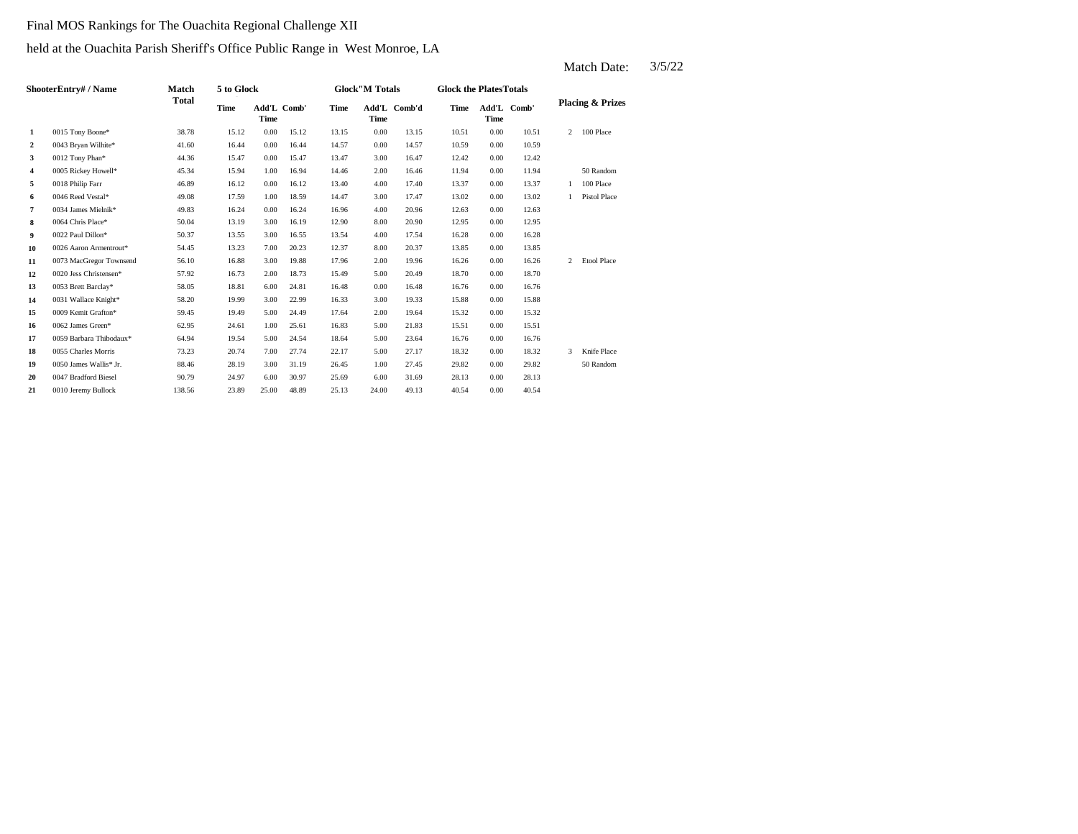#### Final MOS Rankings for The Ouachita Regional Challenge XII

### held at the Ouachita Parish Sheriff's Office Public Range in West Monroe, LA

|                  | ShooterEntry# / Name    | Match  | 5 to Glock |                     |       |       | <b>Glock"M Totals</b> |              | <b>Glock the PlatesTotals</b> |                     |       |                |                             |
|------------------|-------------------------|--------|------------|---------------------|-------|-------|-----------------------|--------------|-------------------------------|---------------------|-------|----------------|-----------------------------|
|                  |                         | Total  | Time       | Add'L Comb'<br>Time |       | Time  | Time                  | Add'L Comb'd | Time                          | Add'L Comb'<br>Time |       |                | <b>Placing &amp; Prizes</b> |
| 1                | 0015 Tony Boone*        | 38.78  | 15.12      | 0.00                | 15.12 | 13.15 | 0.00                  | 13.15        | 10.51                         | 0.00                | 10.51 | $\overline{2}$ | 100 Place                   |
| $\boldsymbol{2}$ | 0043 Bryan Wilhite*     | 41.60  | 16.44      | 0.00                | 16.44 | 14.57 | 0.00                  | 14.57        | 10.59                         | 0.00                | 10.59 |                |                             |
| 3                | 0012 Tony Phan*         | 44.36  | 15.47      | 0.00                | 15.47 | 13.47 | 3.00                  | 16.47        | 12.42                         | 0.00                | 12.42 |                |                             |
| 4                | 0005 Rickey Howell*     | 45.34  | 15.94      | 1.00                | 16.94 | 14.46 | 2.00                  | 16.46        | 11.94                         | 0.00                | 11.94 |                | 50 Random                   |
| 5                | 0018 Philip Farr        | 46.89  | 16.12      | 0.00                | 16.12 | 13.40 | 4.00                  | 17.40        | 13.37                         | 0.00                | 13.37 |                | 100 Place                   |
| 6                | 0046 Reed Vestal*       | 49.08  | 17.59      | 1.00                | 18.59 | 14.47 | 3.00                  | 17.47        | 13.02                         | 0.00                | 13.02 |                | Pistol Place                |
| 7                | 0034 James Mielnik*     | 49.83  | 16.24      | 0.00                | 16.24 | 16.96 | 4.00                  | 20.96        | 12.63                         | 0.00                | 12.63 |                |                             |
| 8                | 0064 Chris Place*       | 50.04  | 13.19      | 3.00                | 16.19 | 12.90 | 8.00                  | 20.90        | 12.95                         | 0.00                | 12.95 |                |                             |
| 9                | 0022 Paul Dillon*       | 50.37  | 13.55      | 3.00                | 16.55 | 13.54 | 4.00                  | 17.54        | 16.28                         | 0.00                | 16.28 |                |                             |
| 10               | 0026 Aaron Armentrout*  | 54.45  | 13.23      | 7.00                | 20.23 | 12.37 | 8.00                  | 20.37        | 13.85                         | 0.00                | 13.85 |                |                             |
| 11               | 0073 MacGregor Townsend | 56.10  | 16.88      | 3.00                | 19.88 | 17.96 | 2.00                  | 19.96        | 16.26                         | 0.00                | 16.26 | $\overline{2}$ | <b>Etool Place</b>          |
| 12               | 0020 Jess Christensen*  | 57.92  | 16.73      | 2.00                | 18.73 | 15.49 | 5.00                  | 20.49        | 18.70                         | 0.00                | 18.70 |                |                             |
| 13               | 0053 Brett Barclay*     | 58.05  | 18.81      | 6.00                | 24.81 | 16.48 | 0.00                  | 16.48        | 16.76                         | 0.00                | 16.76 |                |                             |
| 14               | 0031 Wallace Knight*    | 58.20  | 19.99      | 3.00                | 22.99 | 16.33 | 3.00                  | 19.33        | 15.88                         | 0.00                | 15.88 |                |                             |
| 15               | 0009 Kemit Grafton*     | 59.45  | 19.49      | 5.00                | 24.49 | 17.64 | 2.00                  | 19.64        | 15.32                         | 0.00                | 15.32 |                |                             |
| 16               | 0062 James Green*       | 62.95  | 24.61      | 1.00                | 25.61 | 16.83 | 5.00                  | 21.83        | 15.51                         | 0.00                | 15.51 |                |                             |
| 17               | 0059 Barbara Thibodaux* | 64.94  | 19.54      | 5.00                | 24.54 | 18.64 | 5.00                  | 23.64        | 16.76                         | 0.00                | 16.76 |                |                             |
| 18               | 0055 Charles Morris     | 73.23  | 20.74      | 7.00                | 27.74 | 22.17 | 5.00                  | 27.17        | 18.32                         | 0.00                | 18.32 | 3              | Knife Place                 |
| 19               | 0050 James Wallis* Jr.  | 88.46  | 28.19      | 3.00                | 31.19 | 26.45 | 1.00                  | 27.45        | 29.82                         | 0.00                | 29.82 |                | 50 Random                   |
| 20               | 0047 Bradford Biesel    | 90.79  | 24.97      | 6.00                | 30.97 | 25.69 | 6.00                  | 31.69        | 28.13                         | 0.00                | 28.13 |                |                             |
| 21               | 0010 Jeremy Bullock     | 138.56 | 23.89      | 25.00               | 48.89 | 25.13 | 24.00                 | 49.13        | 40.54                         | 0.00                | 40.54 |                |                             |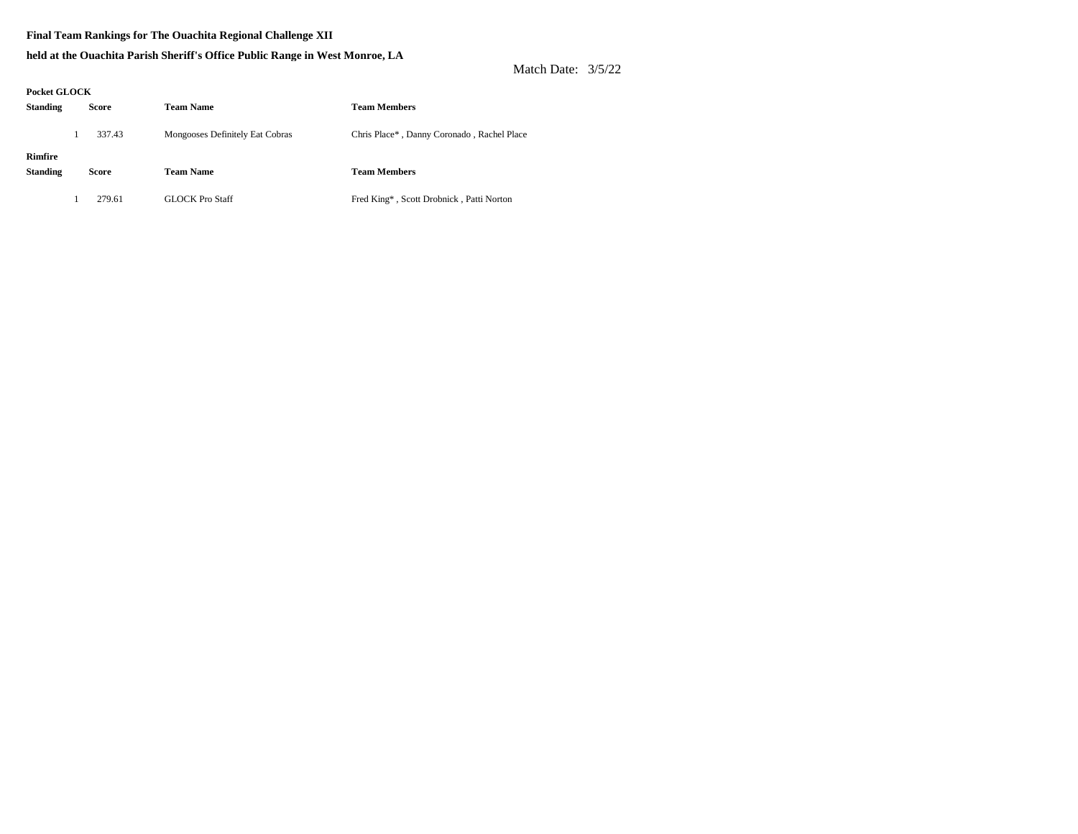#### **Final Team Rankings for The Ouachita Regional Challenge XII**

#### **held at the Ouachita Parish Sheriff's Office Public Range in West Monroe, LA**

| Pocket GLOCK               |        |                                 |                                            |
|----------------------------|--------|---------------------------------|--------------------------------------------|
| <b>Standing</b>            | Score  | <b>Team Name</b>                | <b>Team Members</b>                        |
|                            | 337.43 | Mongooses Definitely Eat Cobras | Chris Place*, Danny Coronado, Rachel Place |
| Rimfire<br><b>Standing</b> | Score  | <b>Team Name</b>                | <b>Team Members</b>                        |
|                            | 279.61 | <b>GLOCK Pro Staff</b>          | Fred King*, Scott Drobnick, Patti Norton   |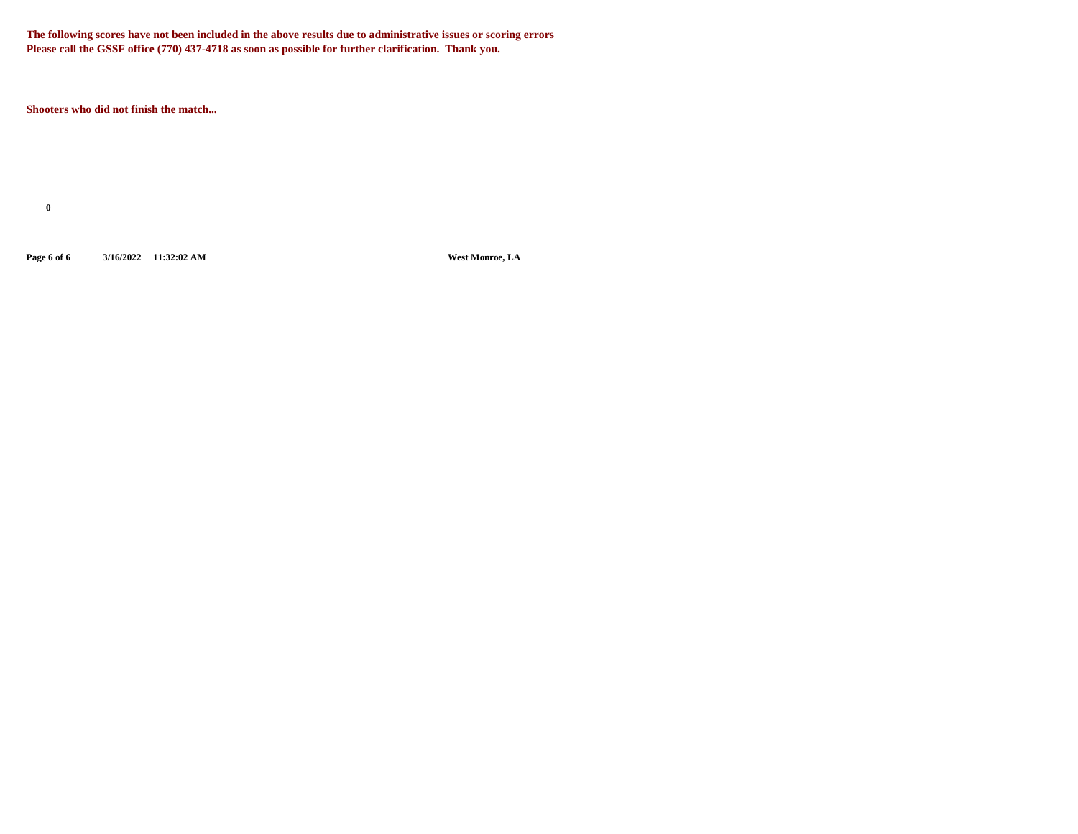**The following scores have not been included in the above results due to administrative issues or scoring errors Please call the GSSF office (770) 437-4718 as soon as possible for further clarification. Thank you.**

**Shooters who did not finish the match...**

**0**

**Page 6 of 6 3/16/2022 11:32:02 AM West Monroe, LA**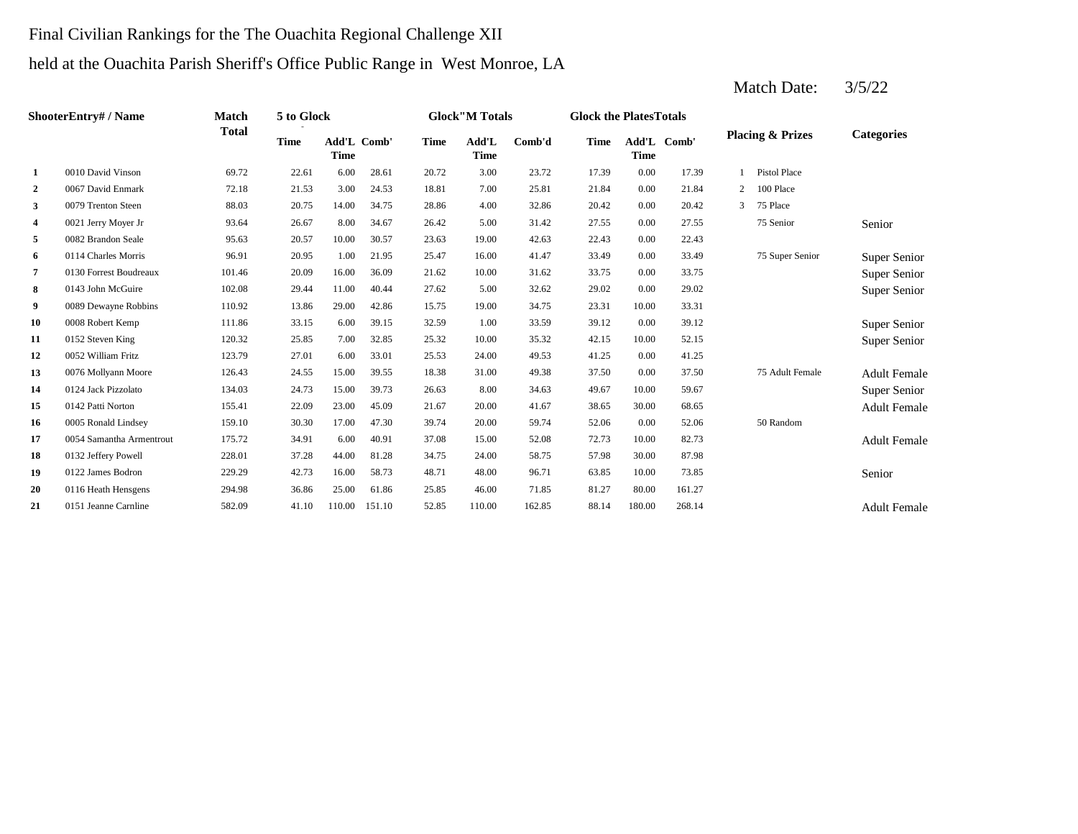# Final Civilian Rankings for the The Ouachita Regional Challenge XII held at the Ouachita Parish Sheriff's Office Public Range in West Monroe, LA

|                | <b>ShooterEntry#/Name</b> | Match        | 5 to Glock  |                            |        |             | <b>Glock</b> "M Totals |        | <b>Glock the Plates Totals</b> |        |             |              |                             |                     |
|----------------|---------------------------|--------------|-------------|----------------------------|--------|-------------|------------------------|--------|--------------------------------|--------|-------------|--------------|-----------------------------|---------------------|
|                |                           | <b>Total</b> | <b>Time</b> | Add'L Comb'<br><b>Time</b> |        | <b>Time</b> | Add'L<br><b>Time</b>   | Comb'd | <b>Time</b>                    | Time   | Add'L Comb' |              | <b>Placing &amp; Prizes</b> | <b>Categories</b>   |
| 1              | 0010 David Vinson         | 69.72        | 22.61       | 6.00                       | 28.61  | 20.72       | 3.00                   | 23.72  | 17.39                          | 0.00   | 17.39       |              | Pistol Place                |                     |
| $\overline{2}$ | 0067 David Enmark         | 72.18        | 21.53       | 3.00                       | 24.53  | 18.81       | 7.00                   | 25.81  | 21.84                          | 0.00   | 21.84       | 2            | 100 Place                   |                     |
| 3              | 0079 Trenton Steen        | 88.03        | 20.75       | 14.00                      | 34.75  | 28.86       | 4.00                   | 32.86  | 20.42                          | 0.00   | 20.42       | $\mathbf{3}$ | 75 Place                    |                     |
| 4              | 0021 Jerry Moyer Jr       | 93.64        | 26.67       | 8.00                       | 34.67  | 26.42       | 5.00                   | 31.42  | 27.55                          | 0.00   | 27.55       |              | 75 Senior                   | Senior              |
| 5              | 0082 Brandon Seale        | 95.63        | 20.57       | 10.00                      | 30.57  | 23.63       | 19.00                  | 42.63  | 22.43                          | 0.00   | 22.43       |              |                             |                     |
| 6              | 0114 Charles Morris       | 96.91        | 20.95       | 1.00                       | 21.95  | 25.47       | 16.00                  | 41.47  | 33.49                          | 0.00   | 33.49       |              | 75 Super Senior             | Super Senior        |
| 7              | 0130 Forrest Boudreaux    | 101.46       | 20.09       | 16.00                      | 36.09  | 21.62       | 10.00                  | 31.62  | 33.75                          | 0.00   | 33.75       |              |                             | Super Senior        |
| 8              | 0143 John McGuire         | 102.08       | 29.44       | 11.00                      | 40.44  | 27.62       | 5.00                   | 32.62  | 29.02                          | 0.00   | 29.02       |              |                             | Super Senior        |
| 9              | 0089 Dewayne Robbins      | 110.92       | 13.86       | 29.00                      | 42.86  | 15.75       | 19.00                  | 34.75  | 23.31                          | 10.00  | 33.31       |              |                             |                     |
| 10             | 0008 Robert Kemp          | 111.86       | 33.15       | 6.00                       | 39.15  | 32.59       | 1.00                   | 33.59  | 39.12                          | 0.00   | 39.12       |              |                             | Super Senior        |
| 11             | 0152 Steven King          | 120.32       | 25.85       | 7.00                       | 32.85  | 25.32       | 10.00                  | 35.32  | 42.15                          | 10.00  | 52.15       |              |                             | Super Senior        |
| 12             | 0052 William Fritz        | 123.79       | 27.01       | 6.00                       | 33.01  | 25.53       | 24.00                  | 49.53  | 41.25                          | 0.00   | 41.25       |              |                             |                     |
| 13             | 0076 Mollyann Moore       | 126.43       | 24.55       | 15.00                      | 39.55  | 18.38       | 31.00                  | 49.38  | 37.50                          | 0.00   | 37.50       |              | 75 Adult Female             | <b>Adult Female</b> |
| 14             | 0124 Jack Pizzolato       | 134.03       | 24.73       | 15.00                      | 39.73  | 26.63       | 8.00                   | 34.63  | 49.67                          | 10.00  | 59.67       |              |                             | Super Senior        |
| 15             | 0142 Patti Norton         | 155.41       | 22.09       | 23.00                      | 45.09  | 21.67       | 20.00                  | 41.67  | 38.65                          | 30.00  | 68.65       |              |                             | <b>Adult Female</b> |
| -16            | 0005 Ronald Lindsey       | 159.10       | 30.30       | 17.00                      | 47.30  | 39.74       | 20.00                  | 59.74  | 52.06                          | 0.00   | 52.06       |              | 50 Random                   |                     |
| 17             | 0054 Samantha Armentrout  | 175.72       | 34.91       | 6.00                       | 40.91  | 37.08       | 15.00                  | 52.08  | 72.73                          | 10.00  | 82.73       |              |                             | <b>Adult Female</b> |
| 18             | 0132 Jeffery Powell       | 228.01       | 37.28       | 44.00                      | 81.28  | 34.75       | 24.00                  | 58.75  | 57.98                          | 30.00  | 87.98       |              |                             |                     |
| 19             | 0122 James Bodron         | 229.29       | 42.73       | 16.00                      | 58.73  | 48.71       | 48.00                  | 96.71  | 63.85                          | 10.00  | 73.85       |              |                             | Senior              |
| 20             | 0116 Heath Hensgens       | 294.98       | 36.86       | 25.00                      | 61.86  | 25.85       | 46.00                  | 71.85  | 81.27                          | 80.00  | 161.27      |              |                             |                     |
| 21             | 0151 Jeanne Carnline      | 582.09       | 41.10       | 110.00                     | 151.10 | 52.85       | 110.00                 | 162.85 | 88.14                          | 180.00 | 268.14      |              |                             | <b>Adult Female</b> |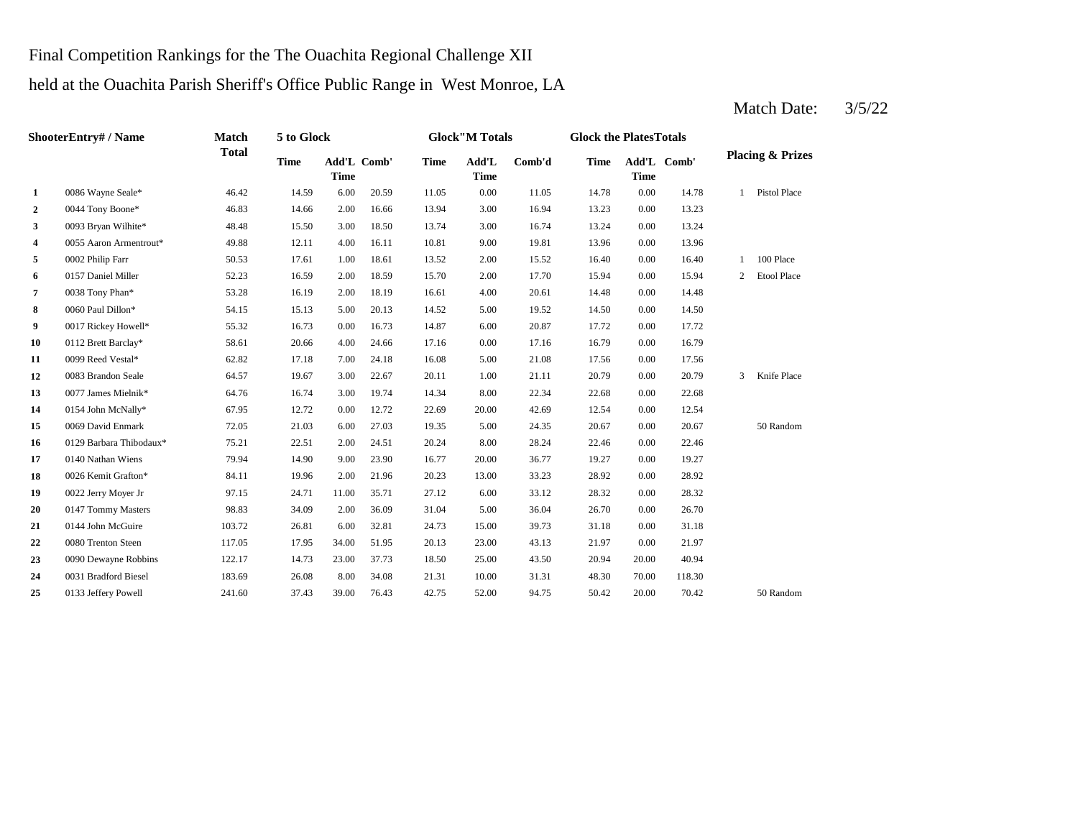### Final Competition Rankings for the The Ouachita Regional Challenge XII

## held at the Ouachita Parish Sheriff's Office Public Range in West Monroe, LA

**2**  $0.044$  Tony Boone\*  $46.83$  14.66 2.00 16.66 13.94 3.00 16.94 13.23 **3** 0093 Bryan Wilhite\* 48.48 15.50 3.00 18.50 13.74 3.00 16.74 13.24 0.00 **4** 9.00 13.96 0055 Aaron Armentrout\* 49.88 12.11 4.00 16.11 10.81 19.81 0.00 13.96 **5** 2.00 **15.52** 16.40 **6** 2.00 15.94 0157 Daniel Miller 52.23 16.59 2.00 18.59 **7** 0038 Tony Phan\* **53.28** 16.19 2.00 18.19 16.61 4.00 20.61 14.48 **8** 0060 Paul Dillon\* 54.15 15.13 5.00 20.13 14.52 5.00 19.52 14.50 **9** 6.00 17.72 0017 Rickey Howell\* 55.32 16.73 0.00 16.73 14.87 20.87 0.00 **10** 0112 Brett Barclay\* 58.61 20.66 4.00 24.66 17.16 0.00 17.16 16.79 0.00 16.79 **11** 0099 Reed Vestal\* **62.82** 17.18 7.00 24.18 16.08 5.00 21.08 17.56 **12** 0083 Brandon Seale 64.57 19.67 3.00 22.67 20.11 1.00 21.11 20.79 **13** 8.00 22.68 0077 James Mielnik\* 64.76 16.74 3.00 19.74 14.34 **14** 20.00 12.54 0154 John McNally\* 67.95 12.72 0.00 12.72 22.69 42.69 **15** 0069 David Enmark **15.000 27.03** 19.35 **19.35** 20.67 0.00 **16** 8.00 22.46 0129 Barbara Thibodaux\* 75.21 22.51 2.00 24.51 20.24 28.24 0.00 **17** 0140 Nathan Wiens **19.27 19.27 19.27 19.27 19.27 19.27 19.27 19.27 19.27 19.27 19.27 19.27 19.27 18** 0026 Kemit Grafton\* 84.11 19.96 2.00 21.96 20.23 13.00 33.23 28.92 **19** 0022 Jerry Moyer Jr 97.15 24.71 11.00 35.71 27.12 6.00 33.12 28.32 **20** 0147 Tommy Masters **20.83** 34.09 2.00 36.09 31.04 5.00 36.04 26.70 0.00 21 0144 John McGuire 103.72 26.81 6.00 32.81 24.73 15.00 39.73 31.18 **22** 0080 Trenton Steen 117.05 17.95 34.00 51.95 20.13 23.00 43.13 21.97 **23** 0090 Dewayne Robbins 122.17 14.73 23.00 37.73 18.50 25.00 43.50 20.94 **24** 0031 Bradford Biesel 183.69 26.08 8.00 34.08 21.31 10.00 31.31 48.30 70.00 25 0133 Jeffery Powell 241.60 37.43 39.00 76.43 42.75 52.00 94.75 50.42 20.00 70.42 50 Random 118.30 0133 Jeffery Powell 241.60 37.43 39.00 76.43 42.75 52.00 94.75 50.42 20.00 70.42 20.00 40.94 43.13 0.00 21.97 26.70 0144 John McGuire 103.72 26.81 6.00 32.81 24.73 15.00 39.73 31.18 0.00 31.18 0.00 28.32 33.23 0.00 28.92 22.46 20.67 50 Random 0.00 12.54 22.34 0.00 22.68 0.00 20.79 3 Knife Place 21.08 0.00 17.56 17.72 0.00 14.50 20.61 0.00 14.48 15.70 2.00 17.70 15.94 0.00 15.94 2 Etool Place 15.52 16.40 0.00 16.40 1 100 Place 0002 Philip Farr 50.53 17.61 1.00 18.61 13.52 13.24 0.00 13.23 14.78 1 Pistol Place 20.59 11.05 0.00 11.05 14.78 0.00 **Add'L Time**  $Comb'd$  **Time Time** Add'L Comb' **1** 0086 Wayne Seale\* 46.42 14.59 6.00 **ShooterEntry# / Name Match Total 5 to Glock Time Glock"M Totals Glock the PlatesTotals Placing & Prizes Time Add'L Time** Add'L Comb' **Time**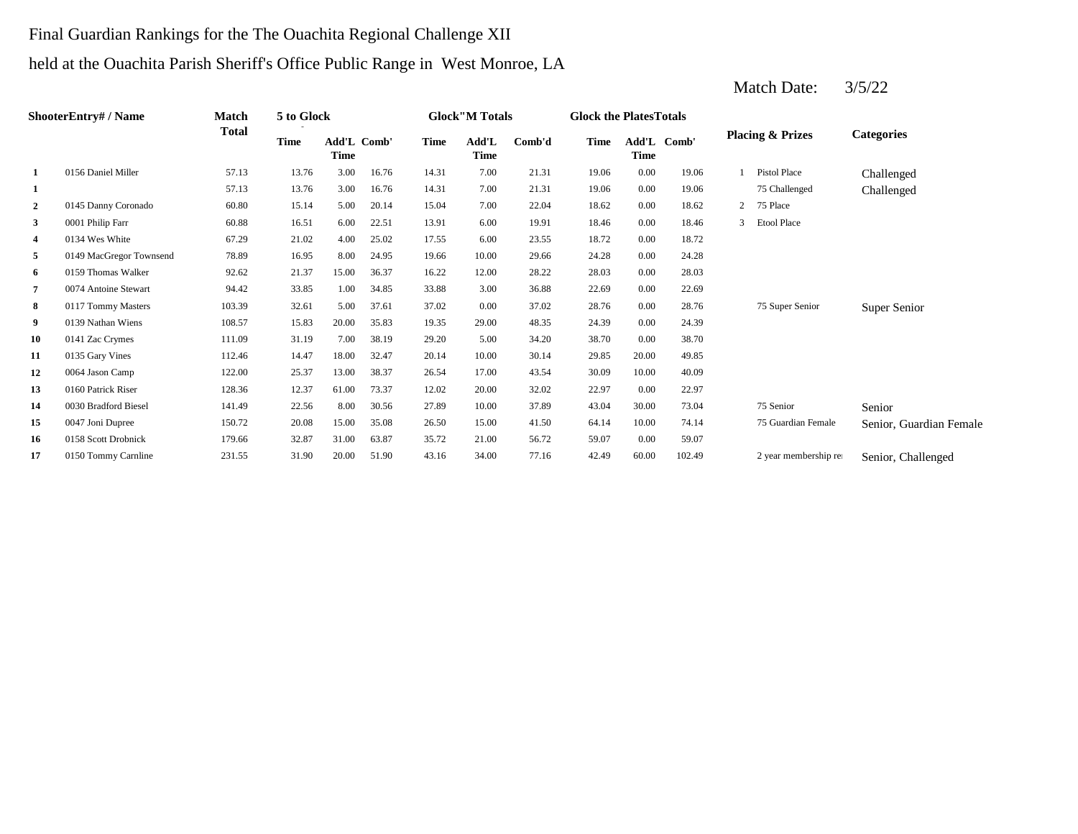## Final Guardian Rankings for the The Ouachita Regional Challenge XII held at the Ouachita Parish Sheriff's Office Public Range in West Monroe, LA

|    | <b>ShooterEntry#/Name</b> | Match  | 5 to Glock  |                     |       |             | <b>Glock</b> "M Totals |        | <b>Glock the Plates Totals</b> |                     |        |              |                             |                         |
|----|---------------------------|--------|-------------|---------------------|-------|-------------|------------------------|--------|--------------------------------|---------------------|--------|--------------|-----------------------------|-------------------------|
|    |                           | Total  | <b>Time</b> | Add'L Comb'<br>Time |       | <b>Time</b> | Add'L<br><b>Time</b>   | Comb'd | <b>Time</b>                    | Add'L Comb'<br>Time |        |              | <b>Placing &amp; Prizes</b> | <b>Categories</b>       |
| 1  | 0156 Daniel Miller        | 57.13  | 13.76       | 3.00                | 16.76 | 14.31       | 7.00                   | 21.31  | 19.06                          | 0.00                | 19.06  |              | <b>Pistol Place</b>         | Challenged              |
| 1  |                           | 57.13  | 13.76       | 3.00                | 16.76 | 14.31       | 7.00                   | 21.31  | 19.06                          | 0.00                | 19.06  |              | 75 Challenged               | Challenged              |
| 2  | 0145 Danny Coronado       | 60.80  | 15.14       | 5.00                | 20.14 | 15.04       | 7.00                   | 22.04  | 18.62                          | 0.00                | 18.62  | $\mathbf{2}$ | 75 Place                    |                         |
| 3  | 0001 Philip Farr          | 60.88  | 16.51       | 6.00                | 22.51 | 13.91       | 6.00                   | 19.91  | 18.46                          | 0.00                | 18.46  | 3            | <b>Etool Place</b>          |                         |
| 4  | 0134 Wes White            | 67.29  | 21.02       | 4.00                | 25.02 | 17.55       | 6.00                   | 23.55  | 18.72                          | 0.00                | 18.72  |              |                             |                         |
| 5  | 0149 MacGregor Townsend   | 78.89  | 16.95       | 8.00                | 24.95 | 19.66       | 10.00                  | 29.66  | 24.28                          | 0.00                | 24.28  |              |                             |                         |
| 6  | 0159 Thomas Walker        | 92.62  | 21.37       | 15.00               | 36.37 | 16.22       | 12.00                  | 28.22  | 28.03                          | 0.00                | 28.03  |              |                             |                         |
| 7  | 0074 Antoine Stewart      | 94.42  | 33.85       | 1.00                | 34.85 | 33.88       | 3.00                   | 36.88  | 22.69                          | 0.00                | 22.69  |              |                             |                         |
| 8  | 0117 Tommy Masters        | 103.39 | 32.61       | 5.00                | 37.61 | 37.02       | 0.00                   | 37.02  | 28.76                          | 0.00                | 28.76  |              | 75 Super Senior             | Super Senior            |
| 9  | 0139 Nathan Wiens         | 108.57 | 15.83       | 20.00               | 35.83 | 19.35       | 29.00                  | 48.35  | 24.39                          | 0.00                | 24.39  |              |                             |                         |
| 10 | 0141 Zac Crymes           | 111.09 | 31.19       | 7.00                | 38.19 | 29.20       | 5.00                   | 34.20  | 38.70                          | 0.00                | 38.70  |              |                             |                         |
| 11 | 0135 Gary Vines           | 112.46 | 14.47       | 18.00               | 32.47 | 20.14       | 10.00                  | 30.14  | 29.85                          | 20.00               | 49.85  |              |                             |                         |
| 12 | 0064 Jason Camp           | 122.00 | 25.37       | 13.00               | 38.37 | 26.54       | 17.00                  | 43.54  | 30.09                          | 10.00               | 40.09  |              |                             |                         |
| 13 | 0160 Patrick Riser        | 128.36 | 12.37       | 61.00               | 73.37 | 12.02       | 20.00                  | 32.02  | 22.97                          | 0.00                | 22.97  |              |                             |                         |
| 14 | 0030 Bradford Biesel      | 141.49 | 22.56       | 8.00                | 30.56 | 27.89       | 10.00                  | 37.89  | 43.04                          | 30.00               | 73.04  |              | 75 Senior                   | Senior                  |
| 15 | 0047 Joni Dupree          | 150.72 | 20.08       | 15.00               | 35.08 | 26.50       | 15.00                  | 41.50  | 64.14                          | 10.00               | 74.14  |              | 75 Guardian Female          | Senior, Guardian Female |
| 16 | 0158 Scott Drobnick       | 179.66 | 32.87       | 31.00               | 63.87 | 35.72       | 21.00                  | 56.72  | 59.07                          | 0.00                | 59.07  |              |                             |                         |
| 17 | 0150 Tommy Carnline       | 231.55 | 31.90       | 20.00               | 51.90 | 43.16       | 34.00                  | 77.16  | 42.49                          | 60.00               | 102.49 |              | 2 year membership rea       | Senior, Challenged      |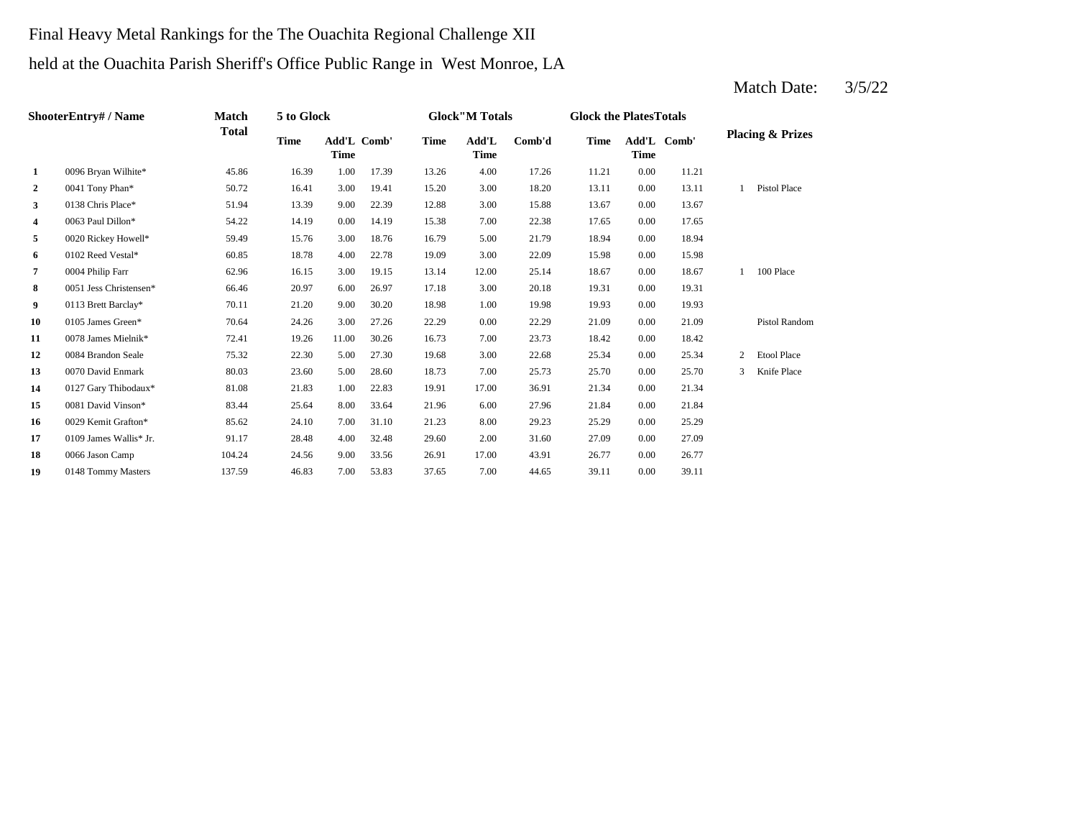# Final Heavy Metal Rankings for the The Ouachita Regional Challenge XII held at the Ouachita Parish Sheriff's Office Public Range in West Monroe, LA

|                | <b>ShooterEntry#/Name</b> | Match        | 5 to Glock  |             |             |             | <b>Glock"M Totals</b> |        | <b>Glock the PlatesTotals</b> |             |             |                |                             |
|----------------|---------------------------|--------------|-------------|-------------|-------------|-------------|-----------------------|--------|-------------------------------|-------------|-------------|----------------|-----------------------------|
|                |                           | <b>Total</b> | <b>Time</b> | <b>Time</b> | Add'L Comb' | <b>Time</b> | Add'L<br><b>Time</b>  | Comb'd | <b>Time</b>                   | <b>Time</b> | Add'L Comb' |                | <b>Placing &amp; Prizes</b> |
| 1              | 0096 Bryan Wilhite*       | 45.86        | 16.39       | 1.00        | 17.39       | 13.26       | 4.00                  | 17.26  | 11.21                         | 0.00        | 11.21       |                |                             |
| $\overline{2}$ | 0041 Tony Phan*           | 50.72        | 16.41       | 3.00        | 19.41       | 15.20       | 3.00                  | 18.20  | 13.11                         | 0.00        | 13.11       | $\mathbf{1}$   | <b>Pistol Place</b>         |
| $\mathbf{3}$   | 0138 Chris Place*         | 51.94        | 13.39       | 9.00        | 22.39       | 12.88       | 3.00                  | 15.88  | 13.67                         | 0.00        | 13.67       |                |                             |
| 4              | 0063 Paul Dillon*         | 54.22        | 14.19       | 0.00        | 14.19       | 15.38       | 7.00                  | 22.38  | 17.65                         | 0.00        | 17.65       |                |                             |
| 5              | 0020 Rickey Howell*       | 59.49        | 15.76       | 3.00        | 18.76       | 16.79       | 5.00                  | 21.79  | 18.94                         | 0.00        | 18.94       |                |                             |
| 6              | 0102 Reed Vestal*         | 60.85        | 18.78       | 4.00        | 22.78       | 19.09       | 3.00                  | 22.09  | 15.98                         | 0.00        | 15.98       |                |                             |
| $\overline{7}$ | 0004 Philip Farr          | 62.96        | 16.15       | 3.00        | 19.15       | 13.14       | 12.00                 | 25.14  | 18.67                         | 0.00        | 18.67       | $\mathbf{1}$   | 100 Place                   |
| 8              | 0051 Jess Christensen*    | 66.46        | 20.97       | 6.00        | 26.97       | 17.18       | 3.00                  | 20.18  | 19.31                         | 0.00        | 19.31       |                |                             |
| 9              | 0113 Brett Barclay*       | 70.11        | 21.20       | 9.00        | 30.20       | 18.98       | 1.00                  | 19.98  | 19.93                         | 0.00        | 19.93       |                |                             |
| 10             | 0105 James Green*         | 70.64        | 24.26       | 3.00        | 27.26       | 22.29       | 0.00                  | 22.29  | 21.09                         | 0.00        | 21.09       |                | Pistol Random               |
| 11             | 0078 James Mielnik*       | 72.41        | 19.26       | 11.00       | 30.26       | 16.73       | 7.00                  | 23.73  | 18.42                         | 0.00        | 18.42       |                |                             |
| 12             | 0084 Brandon Seale        | 75.32        | 22.30       | 5.00        | 27.30       | 19.68       | 3.00                  | 22.68  | 25.34                         | 0.00        | 25.34       | $\overline{2}$ | Etool Place                 |
| 13             | 0070 David Enmark         | 80.03        | 23.60       | 5.00        | 28.60       | 18.73       | 7.00                  | 25.73  | 25.70                         | 0.00        | 25.70       | 3              | Knife Place                 |
| 14             | 0127 Gary Thibodaux*      | 81.08        | 21.83       | 1.00        | 22.83       | 19.91       | 17.00                 | 36.91  | 21.34                         | 0.00        | 21.34       |                |                             |
| 15             | 0081 David Vinson*        | 83.44        | 25.64       | 8.00        | 33.64       | 21.96       | 6.00                  | 27.96  | 21.84                         | 0.00        | 21.84       |                |                             |
| 16             | 0029 Kemit Grafton*       | 85.62        | 24.10       | 7.00        | 31.10       | 21.23       | 8.00                  | 29.23  | 25.29                         | 0.00        | 25.29       |                |                             |
| 17             | 0109 James Wallis* Jr.    | 91.17        | 28.48       | 4.00        | 32.48       | 29.60       | 2.00                  | 31.60  | 27.09                         | 0.00        | 27.09       |                |                             |
| 18             | 0066 Jason Camp           | 104.24       | 24.56       | 9.00        | 33.56       | 26.91       | 17.00                 | 43.91  | 26.77                         | 0.00        | 26.77       |                |                             |
| 19             | 0148 Tommy Masters        | 137.59       | 46.83       | 7.00        | 53.83       | 37.65       | 7.00                  | 44.65  | 39.11                         | 0.00        | 39.11       |                |                             |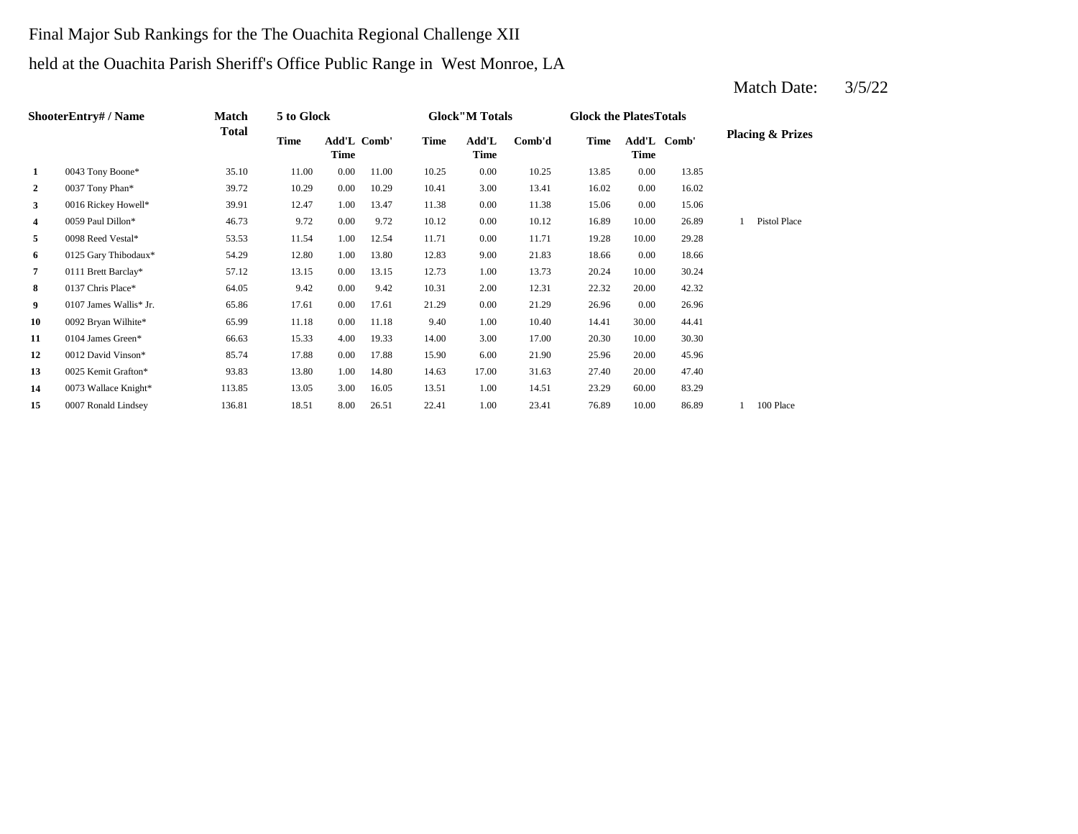# Final Major Sub Rankings for the The Ouachita Regional Challenge XII held at the Ouachita Parish Sheriff's Office Public Range in West Monroe, LA

|              | <b>ShooterEntry#/Name</b> | Match  | 5 to Glock |             |             |       | <b>Glock</b> "M Totals |        | <b>Glock the Plates Totals</b> |             |             |                             |
|--------------|---------------------------|--------|------------|-------------|-------------|-------|------------------------|--------|--------------------------------|-------------|-------------|-----------------------------|
|              |                           | Total  | Time       | <b>Time</b> | Add'L Comb' | Time  | Add'L<br>Time          | Comb'd | <b>Time</b>                    | <b>Time</b> | Add'L Comb' | <b>Placing &amp; Prizes</b> |
| 1            | 0043 Tony Boone*          | 35.10  | 11.00      | 0.00        | 11.00       | 10.25 | 0.00                   | 10.25  | 13.85                          | $0.00\,$    | 13.85       |                             |
| $\mathbf{2}$ | 0037 Tony Phan*           | 39.72  | 10.29      | 0.00        | 10.29       | 10.41 | 3.00                   | 13.41  | 16.02                          | $0.00\,$    | 16.02       |                             |
| 3            | 0016 Rickey Howell*       | 39.91  | 12.47      | 1.00        | 13.47       | 11.38 | 0.00                   | 11.38  | 15.06                          | $0.00\,$    | 15.06       |                             |
| 4            | 0059 Paul Dillon*         | 46.73  | 9.72       | $0.00\,$    | 9.72        | 10.12 | 0.00                   | 10.12  | 16.89                          | 10.00       | 26.89       | Pistol Place                |
| 5            | 0098 Reed Vestal*         | 53.53  | 11.54      | 1.00        | 12.54       | 11.71 | 0.00                   | 11.71  | 19.28                          | 10.00       | 29.28       |                             |
| 6            | 0125 Gary Thibodaux*      | 54.29  | 12.80      | 1.00        | 13.80       | 12.83 | 9.00                   | 21.83  | 18.66                          | $0.00\,$    | 18.66       |                             |
| 7            | 0111 Brett Barclay*       | 57.12  | 13.15      | 0.00        | 13.15       | 12.73 | 1.00                   | 13.73  | 20.24                          | 10.00       | 30.24       |                             |
| 8            | 0137 Chris Place*         | 64.05  | 9.42       | 0.00        | 9.42        | 10.31 | 2.00                   | 12.31  | 22.32                          | 20.00       | 42.32       |                             |
| 9            | 0107 James Wallis* Jr.    | 65.86  | 17.61      | 0.00        | 17.61       | 21.29 | 0.00                   | 21.29  | 26.96                          | $0.00\,$    | 26.96       |                             |
| 10           | 0092 Bryan Wilhite*       | 65.99  | 11.18      | 0.00        | 11.18       | 9.40  | 1.00                   | 10.40  | 14.41                          | 30.00       | 44.41       |                             |
| 11           | 0104 James Green*         | 66.63  | 15.33      | 4.00        | 19.33       | 14.00 | 3.00                   | 17.00  | 20.30                          | 10.00       | 30.30       |                             |
| 12           | 0012 David Vinson*        | 85.74  | 17.88      | 0.00        | 17.88       | 15.90 | 6.00                   | 21.90  | 25.96                          | 20.00       | 45.96       |                             |
| 13           | 0025 Kemit Grafton*       | 93.83  | 13.80      | 1.00        | 14.80       | 14.63 | 17.00                  | 31.63  | 27.40                          | 20.00       | 47.40       |                             |
| 14           | 0073 Wallace Knight*      | 113.85 | 13.05      | 3.00        | 16.05       | 13.51 | 1.00                   | 14.51  | 23.29                          | 60.00       | 83.29       |                             |
| 15           | 0007 Ronald Lindsey       | 136.81 | 18.51      | 8.00        | 26.51       | 22.41 | 1.00                   | 23.41  | 76.89                          | 10.00       | 86.89       | 100 Place                   |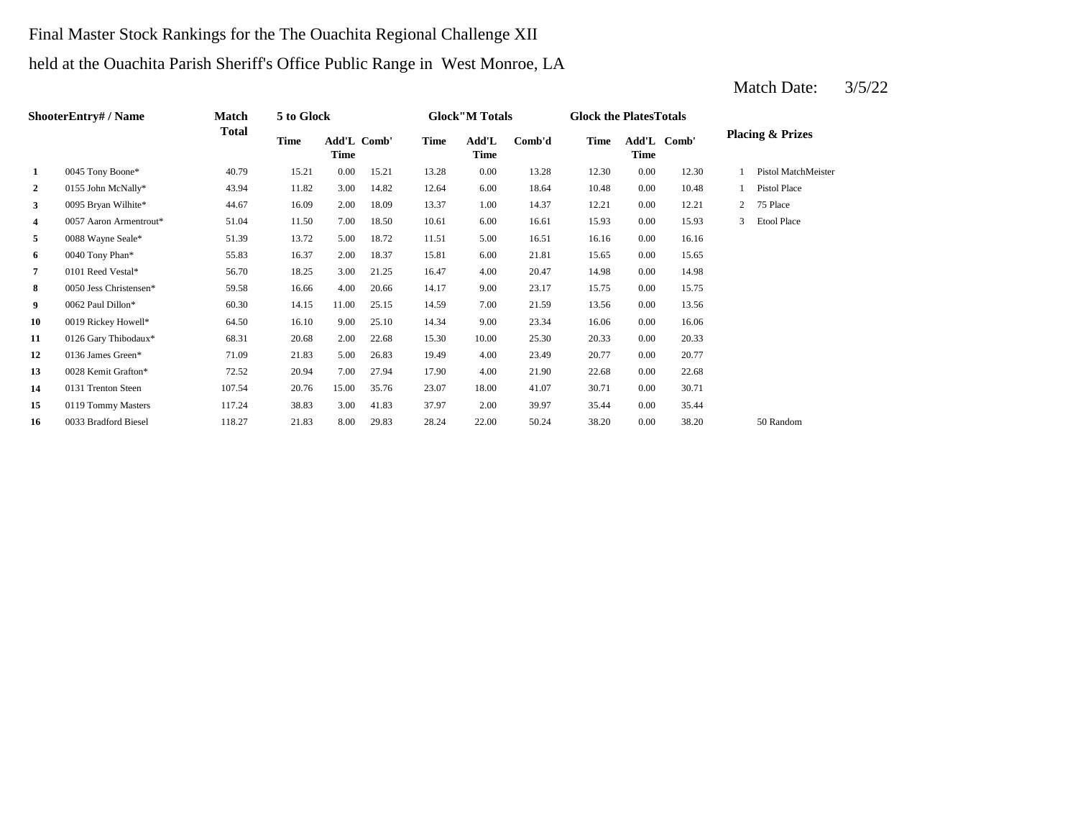# Final Master Stock Rankings for the The Ouachita Regional Challenge XII held at the Ouachita Parish Sheriff's Office Public Range in West Monroe, LA

|                | ShooterEntry# / Name   | Match        | 5 to Glock  |                            |       |             | <b>Glock</b> "M Totals |        | <b>Glock the PlatesTotals</b> |             |             |                |                             |
|----------------|------------------------|--------------|-------------|----------------------------|-------|-------------|------------------------|--------|-------------------------------|-------------|-------------|----------------|-----------------------------|
|                |                        | <b>Total</b> | <b>Time</b> | Add'L Comb'<br><b>Time</b> |       | <b>Time</b> | Add'L<br><b>Time</b>   | Comb'd | <b>Time</b>                   | <b>Time</b> | Add'L Comb' |                | <b>Placing &amp; Prizes</b> |
| 1              | 0045 Tony Boone*       | 40.79        | 15.21       | 0.00                       | 15.21 | 13.28       | 0.00                   | 13.28  | 12.30                         | 0.00        | 12.30       |                | Pistol MatchMeister         |
| $\overline{2}$ | 0155 John McNally*     | 43.94        | 11.82       | 3.00                       | 14.82 | 12.64       | 6.00                   | 18.64  | 10.48                         | 0.00        | 10.48       |                | Pistol Place                |
| $\mathbf{3}$   | 0095 Bryan Wilhite*    | 44.67        | 16.09       | 2.00                       | 18.09 | 13.37       | 1.00                   | 14.37  | 12.21                         | 0.00        | 12.21       | $\overline{2}$ | 75 Place                    |
| 4              | 0057 Aaron Armentrout* | 51.04        | 11.50       | 7.00                       | 18.50 | 10.61       | 6.00                   | 16.61  | 15.93                         | 0.00        | 15.93       |                | <b>Etool Place</b>          |
| 5              | 0088 Wayne Seale*      | 51.39        | 13.72       | 5.00                       | 18.72 | 11.51       | 5.00                   | 16.51  | 16.16                         | 0.00        | 16.16       |                |                             |
| 6              | 0040 Tony Phan*        | 55.83        | 16.37       | 2.00                       | 18.37 | 15.81       | 6.00                   | 21.81  | 15.65                         | 0.00        | 15.65       |                |                             |
| 7              | 0101 Reed Vestal*      | 56.70        | 18.25       | 3.00                       | 21.25 | 16.47       | 4.00                   | 20.47  | 14.98                         | 0.00        | 14.98       |                |                             |
| 8              | 0050 Jess Christensen* | 59.58        | 16.66       | 4.00                       | 20.66 | 14.17       | 9.00                   | 23.17  | 15.75                         | 0.00        | 15.75       |                |                             |
| 9              | 0062 Paul Dillon*      | 60.30        | 14.15       | 11.00                      | 25.15 | 14.59       | 7.00                   | 21.59  | 13.56                         | 0.00        | 13.56       |                |                             |
| 10             | 0019 Rickey Howell*    | 64.50        | 16.10       | 9.00                       | 25.10 | 14.34       | 9.00                   | 23.34  | 16.06                         | $0.00\,$    | 16.06       |                |                             |
| 11             | 0126 Gary Thibodaux*   | 68.31        | 20.68       | 2.00                       | 22.68 | 15.30       | 10.00                  | 25.30  | 20.33                         | $0.00\,$    | 20.33       |                |                             |
| 12             | 0136 James Green*      | 71.09        | 21.83       | 5.00                       | 26.83 | 19.49       | 4.00                   | 23.49  | 20.77                         | 0.00        | 20.77       |                |                             |
| 13             | 0028 Kemit Grafton*    | 72.52        | 20.94       | 7.00                       | 27.94 | 17.90       | 4.00                   | 21.90  | 22.68                         | 0.00        | 22.68       |                |                             |
| 14             | 0131 Trenton Steen     | 107.54       | 20.76       | 15.00                      | 35.76 | 23.07       | 18.00                  | 41.07  | 30.71                         | 0.00        | 30.71       |                |                             |
| 15             | 0119 Tommy Masters     | 117.24       | 38.83       | 3.00                       | 41.83 | 37.97       | 2.00                   | 39.97  | 35.44                         | 0.00        | 35.44       |                |                             |
| 16             | 0033 Bradford Biesel   | 118.27       | 21.83       | 8.00                       | 29.83 | 28.24       | 22.00                  | 50.24  | 38.20                         | 0.00        | 38.20       |                | 50 Random                   |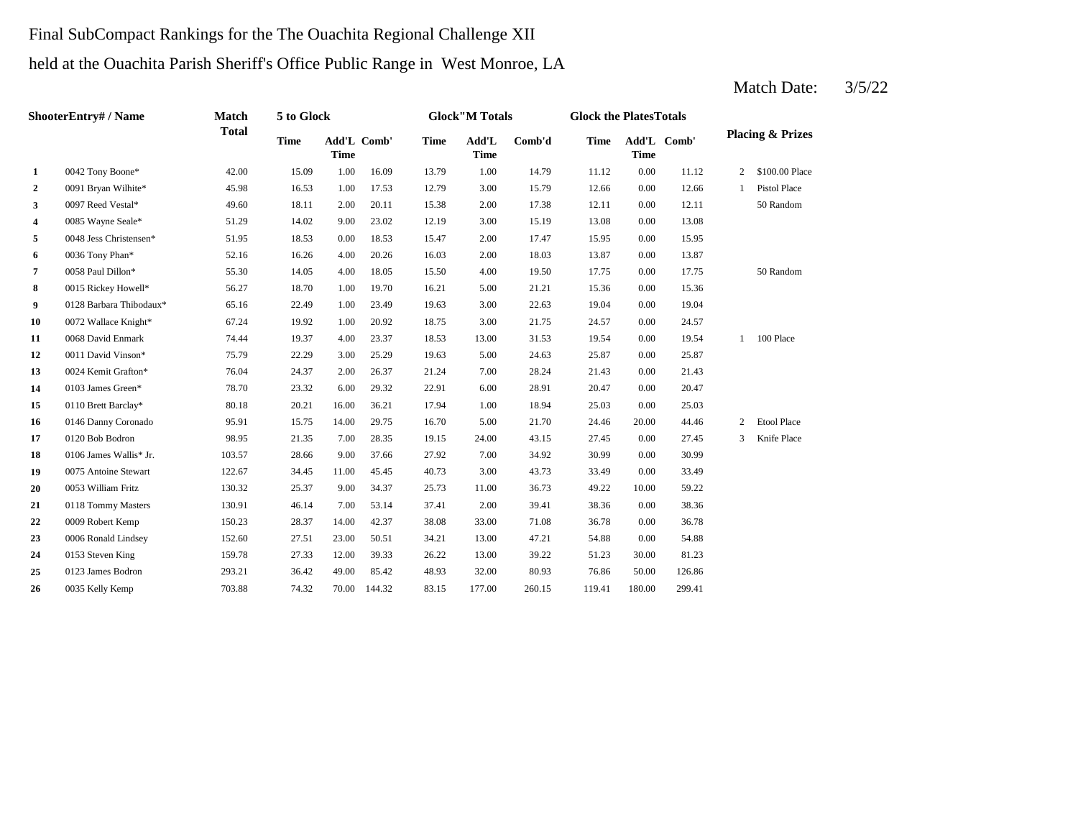# Final SubCompact Rankings for the The Ouachita Regional Challenge XII held at the Ouachita Parish Sheriff's Office Public Range in West Monroe, LA

|              | <b>ShooterEntry#/Name</b> | <b>Match</b> | 5 to Glock  |             |             |             | <b>Glock"M Totals</b> |        | <b>Glock the PlatesTotals</b> |                            |        |   |                             |
|--------------|---------------------------|--------------|-------------|-------------|-------------|-------------|-----------------------|--------|-------------------------------|----------------------------|--------|---|-----------------------------|
|              |                           | <b>Total</b> | <b>Time</b> | <b>Time</b> | Add'L Comb' | <b>Time</b> | Add'L<br><b>Time</b>  | Comb'd | <b>Time</b>                   | Add'L Comb'<br><b>Time</b> |        |   | <b>Placing &amp; Prizes</b> |
| 1            | 0042 Tony Boone*          | 42.00        | 15.09       | 1.00        | 16.09       | 13.79       | 1.00                  | 14.79  | 11.12                         | 0.00                       | 11.12  | 2 | \$100.00 Place              |
| $\mathbf{2}$ | 0091 Bryan Wilhite*       | 45.98        | 16.53       | 1.00        | 17.53       | 12.79       | 3.00                  | 15.79  | 12.66                         | 0.00                       | 12.66  |   | <b>Pistol Place</b>         |
| 3            | 0097 Reed Vestal*         | 49.60        | 18.11       | 2.00        | 20.11       | 15.38       | 2.00                  | 17.38  | 12.11                         | 0.00                       | 12.11  |   | 50 Random                   |
| 4            | 0085 Wayne Seale*         | 51.29        | 14.02       | 9.00        | 23.02       | 12.19       | 3.00                  | 15.19  | 13.08                         | 0.00                       | 13.08  |   |                             |
| 5            | 0048 Jess Christensen*    | 51.95        | 18.53       | 0.00        | 18.53       | 15.47       | 2.00                  | 17.47  | 15.95                         | 0.00                       | 15.95  |   |                             |
| 6            | 0036 Tony Phan*           | 52.16        | 16.26       | 4.00        | 20.26       | 16.03       | 2.00                  | 18.03  | 13.87                         | 0.00                       | 13.87  |   |                             |
| 7            | 0058 Paul Dillon*         | 55.30        | 14.05       | 4.00        | 18.05       | 15.50       | 4.00                  | 19.50  | 17.75                         | 0.00                       | 17.75  |   | 50 Random                   |
| 8            | 0015 Rickey Howell*       | 56.27        | 18.70       | 1.00        | 19.70       | 16.21       | 5.00                  | 21.21  | 15.36                         | 0.00                       | 15.36  |   |                             |
| 9            | 0128 Barbara Thibodaux*   | 65.16        | 22.49       | 1.00        | 23.49       | 19.63       | 3.00                  | 22.63  | 19.04                         | 0.00                       | 19.04  |   |                             |
| 10           | 0072 Wallace Knight*      | 67.24        | 19.92       | 1.00        | 20.92       | 18.75       | 3.00                  | 21.75  | 24.57                         | 0.00                       | 24.57  |   |                             |
| 11           | 0068 David Enmark         | 74.44        | 19.37       | 4.00        | 23.37       | 18.53       | 13.00                 | 31.53  | 19.54                         | 0.00                       | 19.54  |   | 100 Place                   |
| 12           | 0011 David Vinson*        | 75.79        | 22.29       | 3.00        | 25.29       | 19.63       | 5.00                  | 24.63  | 25.87                         | 0.00                       | 25.87  |   |                             |
| 13           | 0024 Kemit Grafton*       | 76.04        | 24.37       | 2.00        | 26.37       | 21.24       | 7.00                  | 28.24  | 21.43                         | 0.00                       | 21.43  |   |                             |
| 14           | 0103 James Green*         | 78.70        | 23.32       | 6.00        | 29.32       | 22.91       | 6.00                  | 28.91  | 20.47                         | 0.00                       | 20.47  |   |                             |
| 15           | 0110 Brett Barclay*       | 80.18        | 20.21       | 16.00       | 36.21       | 17.94       | 1.00                  | 18.94  | 25.03                         | 0.00                       | 25.03  |   |                             |
| 16           | 0146 Danny Coronado       | 95.91        | 15.75       | 14.00       | 29.75       | 16.70       | 5.00                  | 21.70  | 24.46                         | 20.00                      | 44.46  | 2 | <b>Etool Place</b>          |
| 17           | 0120 Bob Bodron           | 98.95        | 21.35       | 7.00        | 28.35       | 19.15       | 24.00                 | 43.15  | 27.45                         | 0.00                       | 27.45  | 3 | Knife Place                 |
| 18           | 0106 James Wallis* Jr.    | 103.57       | 28.66       | 9.00        | 37.66       | 27.92       | 7.00                  | 34.92  | 30.99                         | 0.00                       | 30.99  |   |                             |
| 19           | 0075 Antoine Stewart      | 122.67       | 34.45       | 11.00       | 45.45       | 40.73       | 3.00                  | 43.73  | 33.49                         | 0.00                       | 33.49  |   |                             |
| 20           | 0053 William Fritz        | 130.32       | 25.37       | 9.00        | 34.37       | 25.73       | 11.00                 | 36.73  | 49.22                         | 10.00                      | 59.22  |   |                             |
| 21           | 0118 Tommy Masters        | 130.91       | 46.14       | 7.00        | 53.14       | 37.41       | 2.00                  | 39.41  | 38.36                         | 0.00                       | 38.36  |   |                             |
| 22           | 0009 Robert Kemp          | 150.23       | 28.37       | 14.00       | 42.37       | 38.08       | 33.00                 | 71.08  | 36.78                         | 0.00                       | 36.78  |   |                             |
| 23           | 0006 Ronald Lindsey       | 152.60       | 27.51       | 23.00       | 50.51       | 34.21       | 13.00                 | 47.21  | 54.88                         | 0.00                       | 54.88  |   |                             |
| 24           | 0153 Steven King          | 159.78       | 27.33       | 12.00       | 39.33       | 26.22       | 13.00                 | 39.22  | 51.23                         | 30.00                      | 81.23  |   |                             |
| 25           | 0123 James Bodron         | 293.21       | 36.42       | 49.00       | 85.42       | 48.93       | 32.00                 | 80.93  | 76.86                         | 50.00                      | 126.86 |   |                             |
| 26           | 0035 Kelly Kemp           | 703.88       | 74.32       | 70.00       | 144.32      | 83.15       | 177.00                | 260.15 | 119.41                        | 180.00                     | 299.41 |   |                             |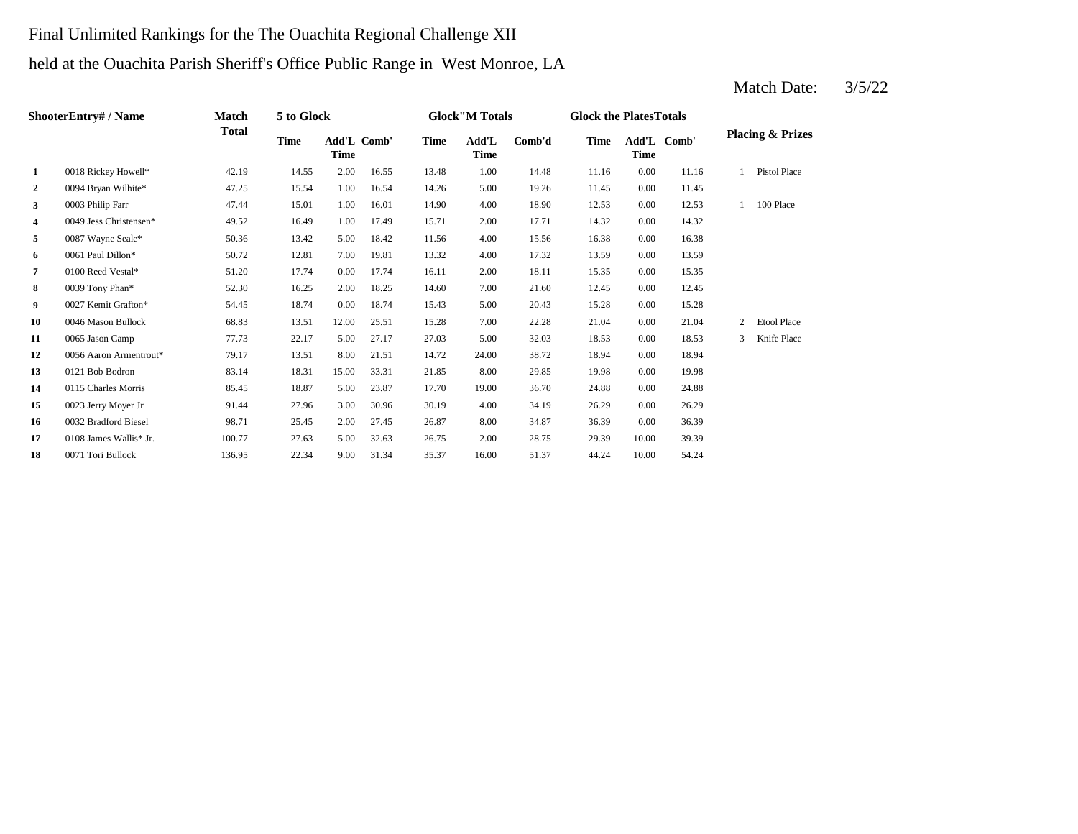# Final Unlimited Rankings for the The Ouachita Regional Challenge XII held at the Ouachita Parish Sheriff's Office Public Range in West Monroe, LA

|                | <b>ShooterEntry#/Name</b> | <b>Match</b> | 5 to Glock  |             |             |             | <b>Glock</b> "M Totals |        | <b>Glock the PlatesTotals</b> |       |             |   |                             |
|----------------|---------------------------|--------------|-------------|-------------|-------------|-------------|------------------------|--------|-------------------------------|-------|-------------|---|-----------------------------|
|                |                           | Total        | <b>Time</b> | <b>Time</b> | Add'L Comb' | <b>Time</b> | Add'L<br><b>Time</b>   | Comb'd | <b>Time</b>                   | Time  | Add'L Comb' |   | <b>Placing &amp; Prizes</b> |
| $\mathbf{1}$   | 0018 Rickey Howell*       | 42.19        | 14.55       | 2.00        | 16.55       | 13.48       | 1.00                   | 14.48  | 11.16                         | 0.00  | 11.16       |   | Pistol Place                |
| $\overline{2}$ | 0094 Bryan Wilhite*       | 47.25        | 15.54       | 1.00        | 16.54       | 14.26       | 5.00                   | 19.26  | 11.45                         | 0.00  | 11.45       |   |                             |
| 3              | 0003 Philip Farr          | 47.44        | 15.01       | 1.00        | 16.01       | 14.90       | 4.00                   | 18.90  | 12.53                         | 0.00  | 12.53       |   | 100 Place                   |
| 4              | 0049 Jess Christensen*    | 49.52        | 16.49       | 1.00        | 17.49       | 15.71       | 2.00                   | 17.71  | 14.32                         | 0.00  | 14.32       |   |                             |
| 5              | 0087 Wayne Seale*         | 50.36        | 13.42       | 5.00        | 18.42       | 11.56       | 4.00                   | 15.56  | 16.38                         | 0.00  | 16.38       |   |                             |
| 6              | 0061 Paul Dillon*         | 50.72        | 12.81       | 7.00        | 19.81       | 13.32       | 4.00                   | 17.32  | 13.59                         | 0.00  | 13.59       |   |                             |
| 7              | 0100 Reed Vestal*         | 51.20        | 17.74       | 0.00        | 17.74       | 16.11       | 2.00                   | 18.11  | 15.35                         | 0.00  | 15.35       |   |                             |
| 8              | 0039 Tony Phan*           | 52.30        | 16.25       | 2.00        | 18.25       | 14.60       | 7.00                   | 21.60  | 12.45                         | 0.00  | 12.45       |   |                             |
| 9              | 0027 Kemit Grafton*       | 54.45        | 18.74       | 0.00        | 18.74       | 15.43       | 5.00                   | 20.43  | 15.28                         | 0.00  | 15.28       |   |                             |
| 10             | 0046 Mason Bullock        | 68.83        | 13.51       | 12.00       | 25.51       | 15.28       | 7.00                   | 22.28  | 21.04                         | 0.00  | 21.04       | 2 | <b>Etool Place</b>          |
| 11             | 0065 Jason Camp           | 77.73        | 22.17       | 5.00        | 27.17       | 27.03       | 5.00                   | 32.03  | 18.53                         | 0.00  | 18.53       | 3 | Knife Place                 |
| 12             | 0056 Aaron Armentrout*    | 79.17        | 13.51       | 8.00        | 21.51       | 14.72       | 24.00                  | 38.72  | 18.94                         | 0.00  | 18.94       |   |                             |
| 13             | 0121 Bob Bodron           | 83.14        | 18.31       | 15.00       | 33.31       | 21.85       | 8.00                   | 29.85  | 19.98                         | 0.00  | 19.98       |   |                             |
| 14             | 0115 Charles Morris       | 85.45        | 18.87       | 5.00        | 23.87       | 17.70       | 19.00                  | 36.70  | 24.88                         | 0.00  | 24.88       |   |                             |
| 15             | 0023 Jerry Moyer Jr       | 91.44        | 27.96       | 3.00        | 30.96       | 30.19       | 4.00                   | 34.19  | 26.29                         | 0.00  | 26.29       |   |                             |
| 16             | 0032 Bradford Biesel      | 98.71        | 25.45       | 2.00        | 27.45       | 26.87       | 8.00                   | 34.87  | 36.39                         | 0.00  | 36.39       |   |                             |
| 17             | 0108 James Wallis* Jr.    | 100.77       | 27.63       | 5.00        | 32.63       | 26.75       | 2.00                   | 28.75  | 29.39                         | 10.00 | 39.39       |   |                             |
| 18             | 0071 Tori Bullock         | 136.95       | 22.34       | 9.00        | 31.34       | 35.37       | 16.00                  | 51.37  | 44.24                         | 10.00 | 54.24       |   |                             |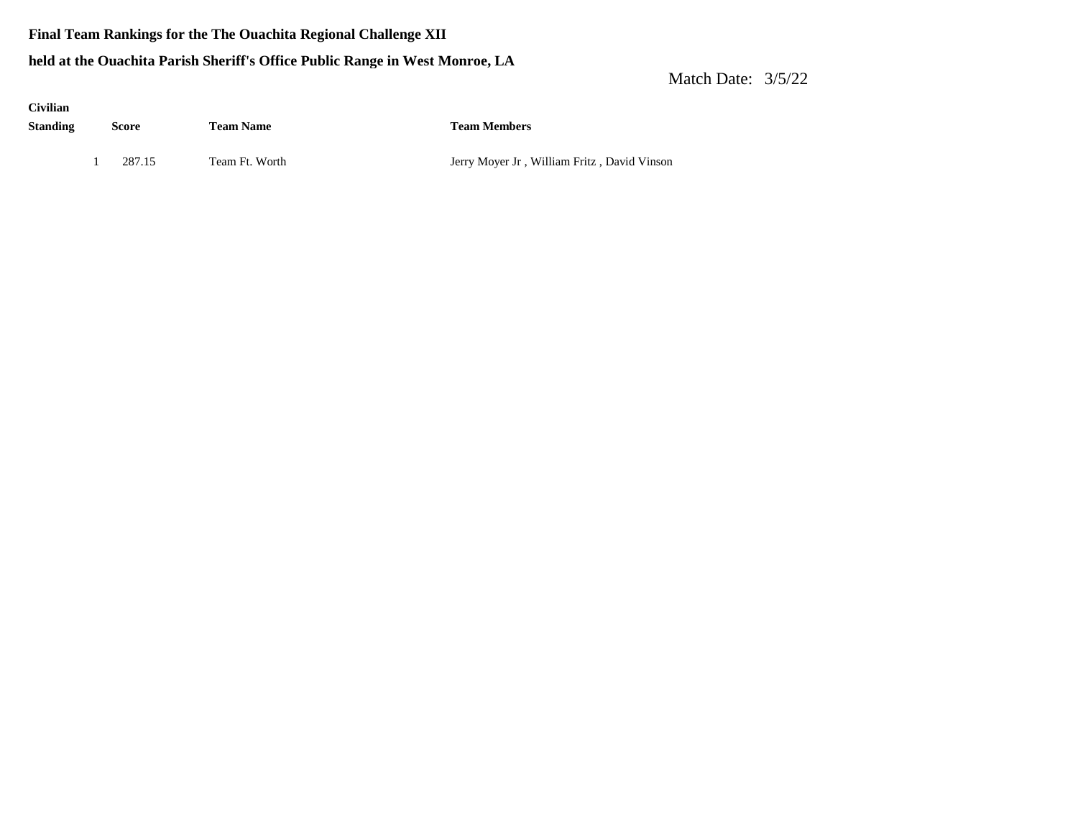### **Final Team Rankings for the The Ouachita Regional Challenge XII**

### **held at the Ouachita Parish Sheriff's Office Public Range in West Monroe, LA**

| <b>Civilian</b><br><b>Standing</b> | Score  | <b>Team Name</b> | <b>Team Members</b>                         |
|------------------------------------|--------|------------------|---------------------------------------------|
|                                    | 287.15 | Team Ft. Worth   | Jerry Moyer Jr, William Fritz, David Vinson |